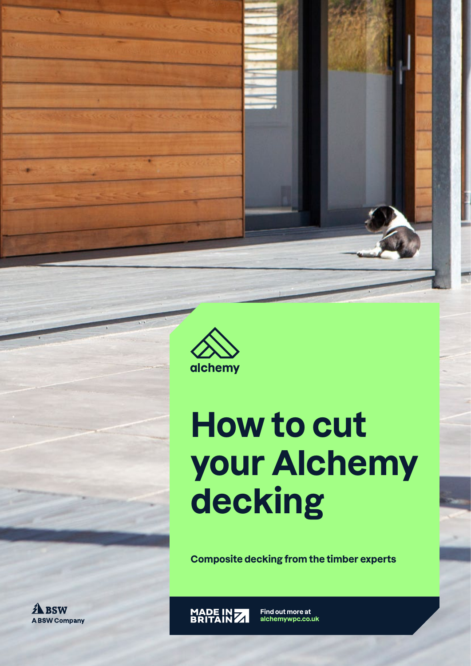

## **How to cut your Alchemy decking**

**Composite decking from the timber experts**

**A** BSW **A BSW Company** 



**Find out more at alchemywpc.co.uk**